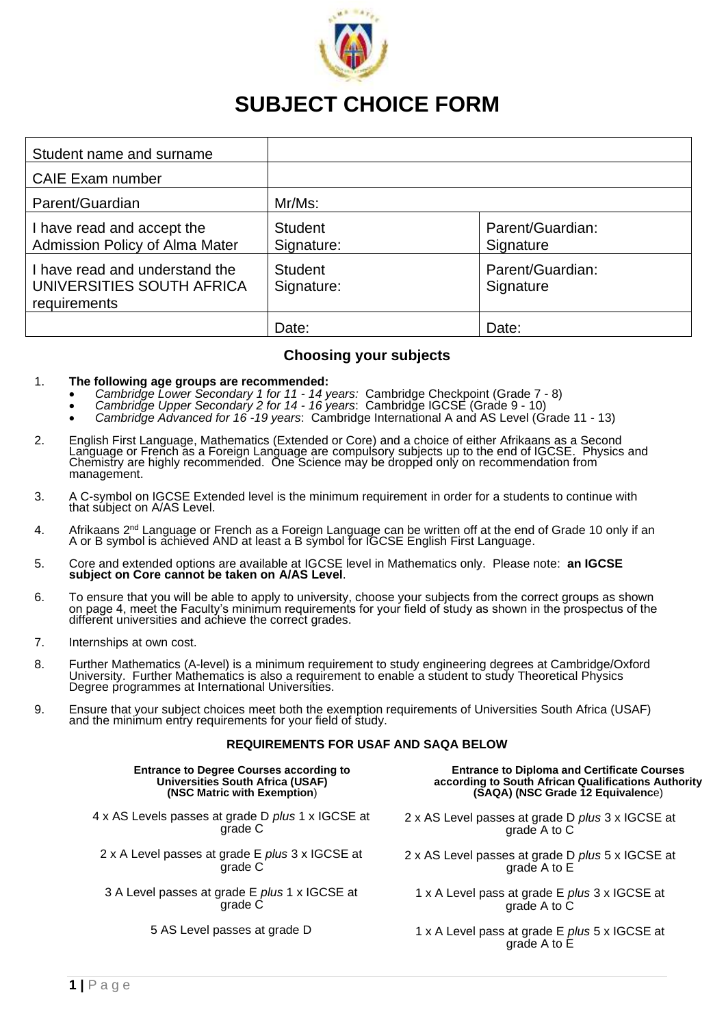

# **SUBJECT CHOICE FORM**

| Student name and surname                                                    |                              |                               |  |
|-----------------------------------------------------------------------------|------------------------------|-------------------------------|--|
| <b>CAIE Exam number</b>                                                     |                              |                               |  |
| Parent/Guardian                                                             | Mr/Ms:                       |                               |  |
| I have read and accept the<br><b>Admission Policy of Alma Mater</b>         | <b>Student</b><br>Signature: | Parent/Guardian:<br>Signature |  |
| I have read and understand the<br>UNIVERSITIES SOUTH AFRICA<br>requirements | <b>Student</b><br>Signature: | Parent/Guardian:<br>Signature |  |
|                                                                             | Date:                        | Date:                         |  |

#### **Choosing your subjects**

#### 1. **The following age groups are recommended:**

- *Cambridge Lower Secondary 1 for 11 - 14 years:* Cambridge Checkpoint (Grade 7 8)
- *Cambridge Upper Secondary 2 for 14 - 16 years*: Cambridge IGCSE (Grade 9 10)
- *Cambridge Advanced for 16 -19 years*: Cambridge International A and AS Level (Grade 11 13)
- 2. English First Language, Mathematics (Extended or Core) and a choice of either Afrikaans as a Second Language or French as a Foreign Language are compulsory subjects up to the end of IGCSE. Physics and Chemistry are highly recommended. One Science may be dropped only on recommendation from management.
- 3. A C-symbol on IGCSE Extended level is the minimum requirement in order for a students to continue with that subject on A/AS Level.
- 4. Afrikaans 2<sup>nd</sup> Language or French as a Foreign Language can be written off at the end of Grade 10 only if an A or B symbol is achieved AND at least a B symbol for IGCSE English First Language.
- 5. Core and extended options are available at IGCSE level in Mathematics only. Please note: **an IGCSE subject on Core cannot be taken on A/AS Level**.
- 6. To ensure that you will be able to apply to university, choose your subjects from the correct groups as shown on page 4, meet the Faculty's minimum requirements for your field of study as shown in the prospectus of the different universities and achieve the correct grades.
- 7. Internships at own cost.
- 8. Further Mathematics (A-level) is a minimum requirement to study engineering degrees at Cambridge/Oxford University. Further Mathematics is also a requirement to enable a student to study Theoretical Physics Degree programmes at International Universities.
- 9. Ensure that your subject choices meet both the exemption requirements of Universities South Africa (USAF) and the minimum entry requirements for your field of study.

#### **REQUIREMENTS FOR USAF AND SAQA BELOW**

| <b>Entrance to Degree Courses according to</b>    | <b>Entrance to Diploma and Certificate Courses</b>                   |
|---------------------------------------------------|----------------------------------------------------------------------|
| <b>Universities South Africa (USAF)</b>           | according to South African Qualifications Authority                  |
| (NSC Matric with Exemption)                       | (SAQA) (NSC Grade 12 Equivalence)                                    |
| 4 x AS Levels passes at grade D plus 1 x IGCSE at | 2 x AS Level passes at grade D plus 3 x IGCSE at                     |
| grade C                                           | grade A to C                                                         |
| 2 x A Level passes at grade E plus 3 x IGCSE at   | 2 x AS Level passes at grade D plus 5 x IGCSE at                     |
| grade C                                           | grade A to E                                                         |
| 3 A Level passes at grade E plus 1 x IGCSE at     | 1 x A Level pass at grade E <i>plus</i> 3 x IGCSE at                 |
| arade C                                           | grade A to C                                                         |
| 5 AS Level passes at grade D                      | 1 x A Level pass at grade E <i>plus</i> 5 x IGCSE at<br>grade A to E |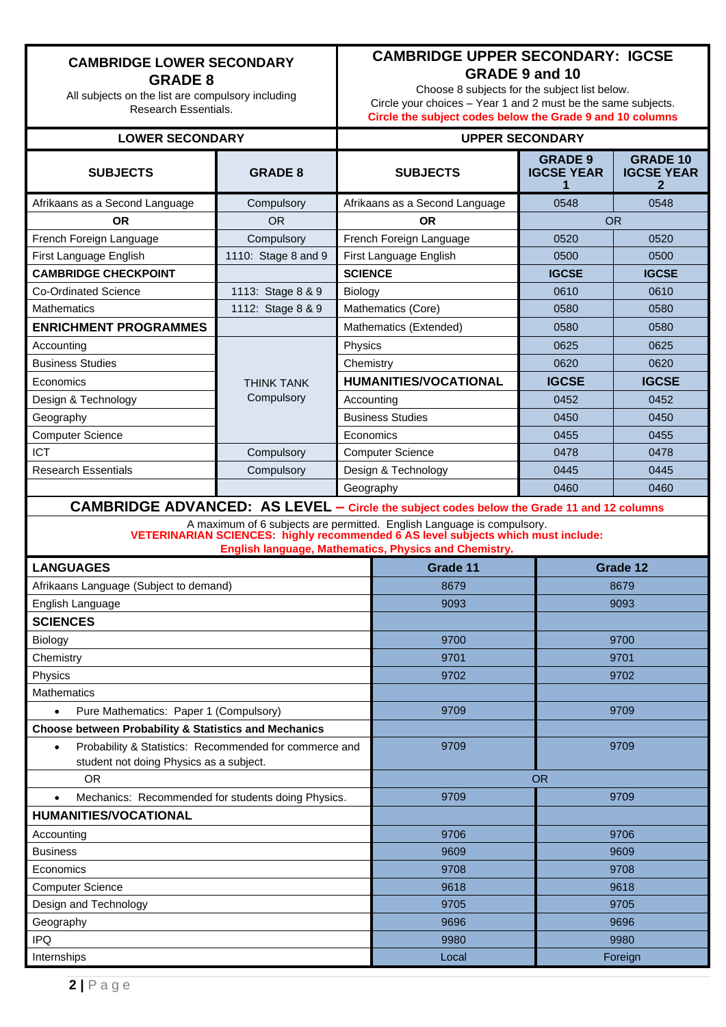## **CAMBRIDGE LOWER SECONDARY GRADE 8**

All subjects on the list are compulsory including Research Essentials.

# **CAMBRIDGE UPPER SECONDARY: IGCSE GRADE 9 and 10**

Choose 8 subjects for the subject list below. Circle your choices – Year 1 and 2 must be the same subjects. **Circle the subject codes below the Grade 9 and 10 columns**

#### **LOWER SECONDARY UPPER SECONDARY**

| <b>SUBJECTS</b>                                                                                                | <b>GRADE 8</b>      | <b>SUBJECTS</b>                |                                                                                                                                                                                                                      | <b>GRADE 9</b><br><b>IGCSE YEAR</b> | <b>GRADE 10</b><br><b>IGCSE YEAR</b> |  |
|----------------------------------------------------------------------------------------------------------------|---------------------|--------------------------------|----------------------------------------------------------------------------------------------------------------------------------------------------------------------------------------------------------------------|-------------------------------------|--------------------------------------|--|
| Afrikaans as a Second Language                                                                                 | Compulsory          | Afrikaans as a Second Language |                                                                                                                                                                                                                      | 0548                                | 0548                                 |  |
| <b>OR</b>                                                                                                      | <b>OR</b>           | <b>OR</b>                      |                                                                                                                                                                                                                      | <b>OR</b>                           |                                      |  |
| French Foreign Language                                                                                        | Compulsory          | French Foreign Language        |                                                                                                                                                                                                                      | 0520                                | 0520                                 |  |
| First Language English                                                                                         | 1110: Stage 8 and 9 | First Language English         |                                                                                                                                                                                                                      | 0500                                | 0500                                 |  |
| <b>CAMBRIDGE CHECKPOINT</b>                                                                                    |                     | <b>SCIENCE</b>                 |                                                                                                                                                                                                                      | <b>IGCSE</b>                        | <b>IGCSE</b>                         |  |
| Co-Ordinated Science                                                                                           | 1113: Stage 8 & 9   | <b>Biology</b>                 |                                                                                                                                                                                                                      | 0610                                | 0610                                 |  |
| Mathematics                                                                                                    | 1112: Stage 8 & 9   |                                | Mathematics (Core)                                                                                                                                                                                                   | 0580                                | 0580                                 |  |
| <b>ENRICHMENT PROGRAMMES</b>                                                                                   |                     |                                | Mathematics (Extended)                                                                                                                                                                                               | 0580                                | 0580                                 |  |
| Accounting                                                                                                     |                     | Physics                        |                                                                                                                                                                                                                      | 0625                                | 0625                                 |  |
| <b>Business Studies</b>                                                                                        |                     | Chemistry                      |                                                                                                                                                                                                                      | 0620                                | 0620                                 |  |
| Economics                                                                                                      | <b>THINK TANK</b>   |                                | <b>HUMANITIES/VOCATIONAL</b>                                                                                                                                                                                         | <b>IGCSE</b>                        | <b>IGCSE</b>                         |  |
| Design & Technology                                                                                            | Compulsory          | Accounting                     |                                                                                                                                                                                                                      | 0452                                | 0452                                 |  |
| Geography                                                                                                      |                     |                                | <b>Business Studies</b>                                                                                                                                                                                              | 0450                                | 0450                                 |  |
| <b>Computer Science</b>                                                                                        |                     | Economics                      |                                                                                                                                                                                                                      | 0455                                | 0455                                 |  |
| <b>ICT</b>                                                                                                     | Compulsory          |                                | <b>Computer Science</b>                                                                                                                                                                                              | 0478                                | 0478                                 |  |
| <b>Research Essentials</b>                                                                                     | Compulsory          |                                | Design & Technology                                                                                                                                                                                                  | 0445                                | 0445                                 |  |
|                                                                                                                |                     | Geography                      |                                                                                                                                                                                                                      | 0460                                | 0460                                 |  |
| <b>CAMBRIDGE ADVANCED: AS LEVEL - Circle the subject codes below the Grade 11 and 12 columns</b>               |                     |                                |                                                                                                                                                                                                                      |                                     |                                      |  |
|                                                                                                                |                     |                                | A maximum of 6 subjects are permitted. English Language is compulsory.<br>VETERINARIAN SCIENCES: highly recommended 6 AS level subjects which must include:<br>English language, Mathematics, Physics and Chemistry. |                                     |                                      |  |
| <b>LANGUAGES</b>                                                                                               |                     |                                | Grade 11                                                                                                                                                                                                             |                                     | Grade 12                             |  |
|                                                                                                                |                     |                                | 8679                                                                                                                                                                                                                 |                                     | 8679                                 |  |
| Afrikaans Language (Subject to demand)                                                                         |                     |                                | 9093                                                                                                                                                                                                                 |                                     | 9093                                 |  |
| English Language<br><b>SCIENCES</b>                                                                            |                     |                                |                                                                                                                                                                                                                      |                                     |                                      |  |
|                                                                                                                |                     |                                | 9700                                                                                                                                                                                                                 |                                     | 9700                                 |  |
| <b>Biology</b><br>Chemistry                                                                                    |                     |                                | 9701                                                                                                                                                                                                                 |                                     | 9701                                 |  |
| Physics                                                                                                        |                     |                                | 9702                                                                                                                                                                                                                 |                                     | 9702                                 |  |
| <b>Mathematics</b>                                                                                             |                     |                                |                                                                                                                                                                                                                      |                                     |                                      |  |
| Pure Mathematics: Paper 1 (Compulsory)                                                                         |                     |                                | 9709                                                                                                                                                                                                                 |                                     | 9709                                 |  |
| Choose between Probability & Statistics and Mechanics                                                          |                     |                                |                                                                                                                                                                                                                      |                                     |                                      |  |
| Probability & Statistics: Recommended for commerce and<br>$\bullet$<br>student not doing Physics as a subject. |                     |                                | 9709                                                                                                                                                                                                                 | 9709                                |                                      |  |
| <b>OR</b>                                                                                                      |                     |                                |                                                                                                                                                                                                                      | <b>OR</b>                           |                                      |  |
| Mechanics: Recommended for students doing Physics.<br>$\bullet$                                                |                     |                                | 9709                                                                                                                                                                                                                 |                                     | 9709                                 |  |
| <b>HUMANITIES/VOCATIONAL</b>                                                                                   |                     |                                |                                                                                                                                                                                                                      |                                     |                                      |  |
| Accounting                                                                                                     |                     |                                | 9706                                                                                                                                                                                                                 |                                     | 9706                                 |  |
| <b>Business</b>                                                                                                |                     |                                | 9609<br>9609                                                                                                                                                                                                         |                                     |                                      |  |
| Economics                                                                                                      |                     |                                | 9708<br>9708                                                                                                                                                                                                         |                                     |                                      |  |
| <b>Computer Science</b>                                                                                        |                     |                                | 9618<br>9618                                                                                                                                                                                                         |                                     |                                      |  |
| Design and Technology                                                                                          |                     |                                | 9705<br>9705                                                                                                                                                                                                         |                                     |                                      |  |
| Geography                                                                                                      |                     |                                | 9696<br>9696                                                                                                                                                                                                         |                                     |                                      |  |
| <b>IPQ</b>                                                                                                     |                     |                                | 9980<br>9980                                                                                                                                                                                                         |                                     |                                      |  |
| Internships                                                                                                    |                     |                                | Foreign<br>Local                                                                                                                                                                                                     |                                     |                                      |  |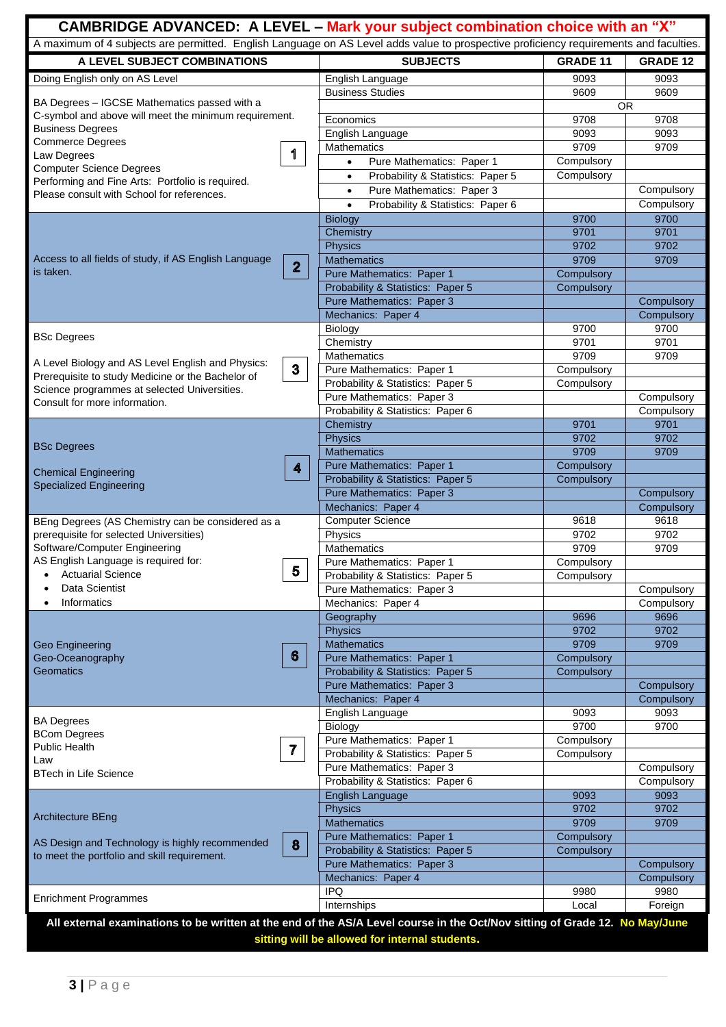| CAMBRIDGE ADVANCED: A LEVEL - Mark your subject combination choice with an "X"                                                        |                                                                       |                    |                          |  |  |  |
|---------------------------------------------------------------------------------------------------------------------------------------|-----------------------------------------------------------------------|--------------------|--------------------------|--|--|--|
| A maximum of 4 subjects are permitted. English Language on AS Level adds value to prospective proficiency requirements and faculties. |                                                                       |                    |                          |  |  |  |
| A LEVEL SUBJECT COMBINATIONS                                                                                                          | <b>SUBJECTS</b>                                                       | <b>GRADE 11</b>    | <b>GRADE 12</b>          |  |  |  |
| Doing English only on AS Level                                                                                                        | English Language                                                      | 9093               | 9093                     |  |  |  |
|                                                                                                                                       | <b>Business Studies</b>                                               | 9609               | 9609                     |  |  |  |
| BA Degrees - IGCSE Mathematics passed with a<br>C-symbol and above will meet the minimum requirement.                                 |                                                                       | <b>OR</b>          |                          |  |  |  |
| <b>Business Degrees</b>                                                                                                               | Economics                                                             | 9708               | 9708                     |  |  |  |
| <b>Commerce Degrees</b>                                                                                                               | English Language<br>Mathematics                                       | 9093<br>9709       | 9093<br>9709             |  |  |  |
| 1<br>Law Degrees                                                                                                                      | Pure Mathematics: Paper 1<br>$\bullet$                                | Compulsory         |                          |  |  |  |
| <b>Computer Science Degrees</b>                                                                                                       | Probability & Statistics: Paper 5<br>$\bullet$                        | Compulsory         |                          |  |  |  |
| Performing and Fine Arts: Portfolio is required.                                                                                      | Pure Mathematics: Paper 3<br>$\bullet$                                |                    | Compulsory               |  |  |  |
| Please consult with School for references.                                                                                            | Probability & Statistics: Paper 6<br>$\bullet$                        |                    | Compulsory               |  |  |  |
|                                                                                                                                       | <b>Biology</b>                                                        | 9700               | 9700                     |  |  |  |
|                                                                                                                                       | Chemistry                                                             | 9701               | 9701                     |  |  |  |
|                                                                                                                                       | <b>Physics</b>                                                        | 9702               | 9702                     |  |  |  |
| Access to all fields of study, if AS English Language<br>$\mathbf{2}$                                                                 | <b>Mathematics</b>                                                    | 9709               | 9709                     |  |  |  |
| is taken.                                                                                                                             | Pure Mathematics: Paper 1                                             | Compulsory         |                          |  |  |  |
|                                                                                                                                       | Probability & Statistics: Paper 5                                     | Compulsory         |                          |  |  |  |
|                                                                                                                                       | Pure Mathematics: Paper 3                                             |                    | Compulsory               |  |  |  |
|                                                                                                                                       | Mechanics: Paper 4<br>Biology                                         | 9700               | Compulsory<br>9700       |  |  |  |
| <b>BSc Degrees</b>                                                                                                                    | Chemistry                                                             | 9701               | 9701                     |  |  |  |
|                                                                                                                                       | Mathematics                                                           | 9709               | 9709                     |  |  |  |
| A Level Biology and AS Level English and Physics:<br>3                                                                                | Pure Mathematics: Paper 1                                             | Compulsory         |                          |  |  |  |
| Prerequisite to study Medicine or the Bachelor of                                                                                     | Probability & Statistics: Paper 5                                     | Compulsory         |                          |  |  |  |
| Science programmes at selected Universities.<br>Consult for more information.                                                         | Pure Mathematics: Paper 3                                             |                    | Compulsory               |  |  |  |
|                                                                                                                                       | Probability & Statistics: Paper 6                                     |                    | Compulsory               |  |  |  |
|                                                                                                                                       | Chemistry                                                             | 9701               | 9701                     |  |  |  |
| <b>BSc Degrees</b>                                                                                                                    | Physics                                                               | 9702               | 9702                     |  |  |  |
|                                                                                                                                       | <b>Mathematics</b>                                                    | 9709               | 9709                     |  |  |  |
| 4<br><b>Chemical Engineering</b>                                                                                                      | Pure Mathematics: Paper 1                                             | Compulsory         |                          |  |  |  |
| <b>Specialized Engineering</b>                                                                                                        | Probability & Statistics: Paper 5<br><b>Pure Mathematics: Paper 3</b> | Compulsory         |                          |  |  |  |
|                                                                                                                                       | Mechanics: Paper 4                                                    |                    | Compulsory<br>Compulsory |  |  |  |
| BEng Degrees (AS Chemistry can be considered as a                                                                                     | <b>Computer Science</b>                                               | 9618               | 9618                     |  |  |  |
| prerequisite for selected Universities)                                                                                               | Physics                                                               | 9702               | 9702                     |  |  |  |
| Software/Computer Engineering                                                                                                         | Mathematics                                                           | 9709               | 9709                     |  |  |  |
| AS English Language is required for:                                                                                                  | Pure Mathematics: Paper 1                                             | Compulsory         |                          |  |  |  |
| 5<br><b>Actuarial Science</b>                                                                                                         | Probability & Statistics: Paper 5                                     | Compulsory         |                          |  |  |  |
| Data Scientist                                                                                                                        | Pure Mathematics: Paper 3                                             |                    | Compulsory               |  |  |  |
| Informatics                                                                                                                           | Mechanics: Paper 4                                                    |                    | Compulsory               |  |  |  |
|                                                                                                                                       | Geography                                                             | 9696               | 9696                     |  |  |  |
|                                                                                                                                       | <b>Physics</b>                                                        | 9702               | 9702                     |  |  |  |
| <b>Geo Engineering</b><br>6<br>Geo-Oceanography                                                                                       | <b>Mathematics</b><br>Pure Mathematics: Paper 1                       | 9709<br>Compulsory | 9709                     |  |  |  |
| Geomatics                                                                                                                             | Probability & Statistics: Paper 5                                     | Compulsory         |                          |  |  |  |
|                                                                                                                                       | Pure Mathematics: Paper 3                                             |                    | Compulsory               |  |  |  |
|                                                                                                                                       | Mechanics: Paper 4                                                    |                    | Compulsory               |  |  |  |
|                                                                                                                                       | English Language                                                      | 9093               | 9093                     |  |  |  |
| <b>BA Degrees</b>                                                                                                                     | <b>Biology</b>                                                        | 9700               | 9700                     |  |  |  |
| <b>BCom Degrees</b><br><b>Public Health</b>                                                                                           | Pure Mathematics: Paper 1                                             | Compulsory         |                          |  |  |  |
| 7<br>Law                                                                                                                              | Probability & Statistics: Paper 5                                     | Compulsory         |                          |  |  |  |
| <b>BTech in Life Science</b>                                                                                                          | Pure Mathematics: Paper 3                                             |                    | Compulsory               |  |  |  |
|                                                                                                                                       | Probability & Statistics: Paper 6                                     |                    | Compulsory               |  |  |  |
|                                                                                                                                       | <b>English Language</b><br><b>Physics</b>                             | 9093<br>9702       | 9093<br>9702             |  |  |  |
| <b>Architecture BEng</b>                                                                                                              | <b>Mathematics</b>                                                    | 9709               | 9709                     |  |  |  |
|                                                                                                                                       | Pure Mathematics: Paper 1                                             | Compulsory         |                          |  |  |  |
| AS Design and Technology is highly recommended<br>8                                                                                   | Probability & Statistics: Paper 5                                     | Compulsory         |                          |  |  |  |
| to meet the portfolio and skill requirement.                                                                                          | Pure Mathematics: Paper 3                                             |                    | Compulsory               |  |  |  |
|                                                                                                                                       | Mechanics: Paper 4                                                    |                    | Compulsory               |  |  |  |
| <b>Enrichment Programmes</b>                                                                                                          | <b>IPQ</b>                                                            | 9980               | 9980                     |  |  |  |
|                                                                                                                                       | Internships                                                           | Local              | Foreign                  |  |  |  |
| All external examinations to be written at the end of the AS/A Level course in the Oct/Nov sitting of Grade 12. No May/June           | sitting will be allowed for internal students.                        |                    |                          |  |  |  |